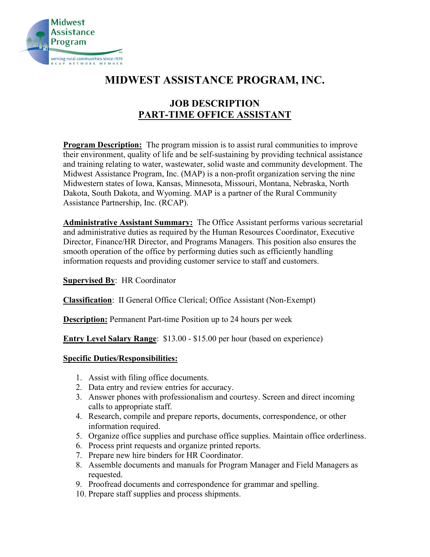

# **MIDWEST ASSISTANCE PROGRAM, INC.**

## **JOB DESCRIPTION PART-TIME OFFICE ASSISTANT**

**Program Description:** The program mission is to assist rural communities to improve their environment, quality of life and be self-sustaining by providing technical assistance and training relating to water, wastewater, solid waste and community development. The Midwest Assistance Program, Inc. (MAP) is a non-profit organization serving the nine Midwestern states of Iowa, Kansas, Minnesota, Missouri, Montana, Nebraska, North Dakota, South Dakota, and Wyoming. MAP is a partner of the Rural Community Assistance Partnership, Inc. (RCAP).

**Administrative Assistant Summary:** The Office Assistant performs various secretarial and administrative duties as required by the Human Resources Coordinator, Executive Director, Finance/HR Director, and Programs Managers. This position also ensures the smooth operation of the office by performing duties such as efficiently handling information requests and providing customer service to staff and customers.

## **Supervised By**: HR Coordinator

**Classification**: II General Office Clerical; Office Assistant (Non-Exempt)

**Description:** Permanent Part-time Position up to 24 hours per week

**Entry Level Salary Range**: \$13.00 - \$15.00 per hour (based on experience)

## **Specific Duties/Responsibilities:**

- 1. Assist with filing office documents.
- 2. Data entry and review entries for accuracy.
- 3. Answer phones with professionalism and courtesy. Screen and direct incoming calls to appropriate staff.
- 4. Research, compile and prepare reports, documents, correspondence, or other information required.
- 5. Organize office supplies and purchase office supplies. Maintain office orderliness.
- 6. Process print requests and organize printed reports.
- 7. Prepare new hire binders for HR Coordinator.
- 8. Assemble documents and manuals for Program Manager and Field Managers as requested.
- 9. Proofread documents and correspondence for grammar and spelling.
- 10. Prepare staff supplies and process shipments.